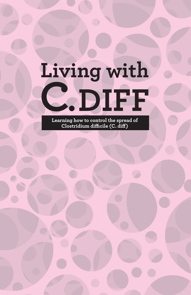# **Living with C.DIFF**

**Learning how to control the spread of Clostridium difficile (C. diff)**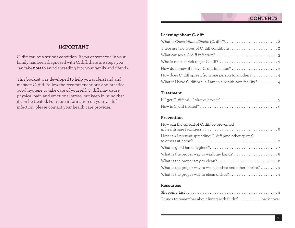# **IMPORTANT**

C. diff can be a serious condition. If you or someone in your family has been diagnosed with C. diff, there are steps you can take **now** to avoid spreading it to your family and friends.

This booklet was developed to help you understand and manage C. diff. Follow the recommendations and practice good hygiene to take care of yourself. C. diff may cause physical pain and emotional stress, but keep in mind that it can be treated. For more information on your C. diff infection, please contact your health care provider.

## **Learning about C. diff**

| How does C. diff spread from one person to another?  4         |
|----------------------------------------------------------------|
| What if I have C. diff while I am in a health care facility? 4 |

#### **Treatment**

## **Prevention**

| How can the spread of C. diff be prevented            |
|-------------------------------------------------------|
| How can I prevent spreading C. diff (and other germs) |
|                                                       |
|                                                       |
|                                                       |
|                                                       |
|                                                       |

#### **Resources**

| Things to remember about living with C. diff  back cover |  |
|----------------------------------------------------------|--|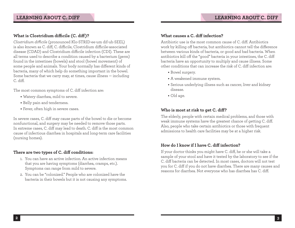# **What is Clostridium difficile (C. diff)?**

*Clostridium difficile* (pronounced Klo-STRID-ee-um dif-uh-SEEL) is also known as C. diff, C. difficile, Clostridium difficile-associated disease (CDAD) and Clostridium difficile infection (CDI). These are all terms used to describe a condition caused by a bacterium (germ) found in the intestines (bowels) and stool (bowel movement) of some people and animals. Your body normally has different kinds of bacteria, many of which help do something important in the bowel. Some bacteria that we carry may, at times, cause illness — including C. diff.

The most common symptoms of C. diff infection are:

- **•** Watery diarrhea, mild to severe.
- **•** Belly pain and tenderness.
- **•** Fever, often high in severe cases.

In severe cases, C. diff may cause parts of the bowel to die or become nonfunctional, and surgery may be needed to remove those parts. In extreme cases, C. diff may lead to death. C. diff is the most common cause of infectious diarrhea in hospitals and long-term care facilities (nursing homes).

## **There are two types of C. diff conditions:**

- 1. You can have an active infection. An active infection means that you are having symptoms (diarrhea, cramps, etc.). Symptoms can range from mild to severe.
- 2. You can be "colonized." People who are colonized have the bacteria in their bowels but it is not causing any symptoms.

## **What causes a C. diff infection?**

Antibiotic use is the most common cause of C. diff. Antibiotics work by killing off bacteria, but antibiotics cannot tell the difference between various kinds of bacteria, or good and bad bacteria. When antibiotics kill off the "good" bacteria in your intestines, the C. diff bacteria have an opportunity to multiply and cause illness. Some other conditions that can increase the risk of C. diff infection are:

- **•** Bowel surgery.
- **•** A weakened immune system.
- **•** Serious underlying illness such as cancer, liver and kidney disease.
- **•** Old age.

# **Who is most at risk to get C. diff?**

The elderly, people with certain medical problems, and those with weak immune systems have the greatest chance of getting C. diff. Also, people who take certain antibiotics or those with frequent admissions to health care facilities may be at a higher risk.

## **How do I know if I have C. diff infection?**

If your doctor thinks you might have C. diff, he or she will take a sample of your stool and have it tested by the laboratory to see if the C. diff bacteria can be detected. In most cases, doctors will not test you for C. diff if you do not have diarrhea. There are many causes and reasons for diarrhea. Not everyone who has diarrhea has C. diff.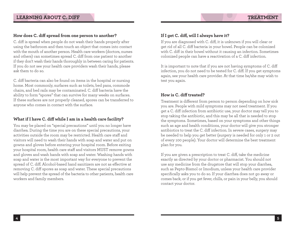#### **How does C. diff spread from one person to another?**

C. diff is spread when people do not wash their hands properly after using the bathroom and then touch an object that comes into contact with the mouth of another person. Health care workers (doctors, nurses and others) can sometimes spread C. diff from one patient to another if they don't wash their hands thoroughly in between caring for patients. If you do not see your health care providers wash their hands, please ask them to do so.

C. diff bacteria can also be found on items in the hospital or nursing home. Most commonly, surfaces such as toilets, bed pans, commode chairs, and bed rails may be contaminated. C. diff bacteria have the ability to form "spores" that can survive for many weeks on surfaces. If these surfaces are not properly cleaned, spores can be transferred to anyone who comes in contact with the surface.

## **What if I have C. diff while I am in a health care facility?**

You may be placed on "special precautions" until you no longer have diarrhea. During the time you are on these special precautions, your activities outside the room may be restricted. Health care staff and visitors will need to wash their hands with soap and water and put on gowns and gloves before entering your hospital room. Before exiting your hospital room, health care staff and visitors MUST remove gowns and gloves and wash hands with soap and water. Washing hands with soap and water is the most important way for everyone to prevent the spread of C. diff. Alcohol-based hand sanitizers are not as effective at removing C. diff spores as soap and water. These special precautions will help prevent the spread of the bacteria to other patients, health care workers and family members.

#### **If I get C. diff, will I always have it?**

If you are diagnosed with C. diff, it is unknown if you will clear or get rid of all C. diff bacteria in your bowel. People can be colonized with C. diff in their bowel without it causing an infection. Sometimes colonized people can have a reactivation of a C. diff infection.

It is important to note that if you are not having symptoms of C. diff infection, you do not need to be tested for C. diff. If you get symptoms again, see your health care provider. At that time he/she may wish to test you again.

#### **How is C. diff treated?**

Treatment is different from person to person depending on how sick you are. People with mild symptoms may not need treatment. If you get a C. diff infection from antibiotic use, your doctor may tell you to stop taking the antibiotic, and this may be all that is needed to stop the symptoms. Sometimes, based on your symptoms and other things such as age and health conditions, your doctor will give you stronger antibiotics to treat the C. diff infection. In severe cases, surgery may be needed to help you get better (surgery is needed for only 1 or 2 out of every 100 people). Your doctor will determine the best treatment plan for you.

If you are given a prescription to treat C. diff, take the medicine exactly as directed by your doctor or pharmacist. You should not use any medicine from the drugstore that will stop your diarrhea, such as Pepto-Bismol or Imodium, unless your health care provider specifically asks you to do so. If your diarrhea does not go away or comes back, or if you get fever, chills, or pain in your belly, you should contact your doctor.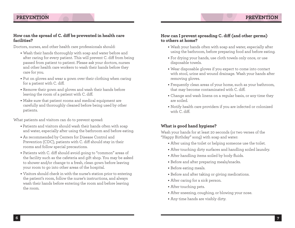## **PREVENTION**

#### **How can the spread of C. diff be prevented in health care facilities?**

Doctors, nurses, and other health care professionals should:

- **•** Wash their hands thoroughly with soap and water before and after caring for every patient. This will prevent C. diff from being passed from patient to patient. Please ask your doctors, nurses and other health care workers to wash their hands before they care for you.
- **•** Put on gloves and wear a gown over their clothing when caring for a patient with C. diff.
- **•** Remove their gown and gloves and wash their hands before leaving the room of a patient with C. diff.
- **•** Make sure that patient rooms and medical equipment are carefully and thoroughly cleaned before being used by other patients.

What patients and visitors can do to prevent spread:

- **•** Patients and visitors should wash their hands often with soap and water, especially after using the bathroom and before eating.
- **•** As recommended by Centers for Disease Control and Prevention (CDC), patients with C. diff should stay in their rooms and follow special precautions.
- **•** Patients with C. diff should avoid going to "common" areas of the facility such as the cafeteria and gift shop. You may be asked to shower and/or change to a fresh, clean gown before leaving your room to go into other areas of the hospital.
- **•** Visitors should check in with the nurse's station prior to entering the patient's room, follow the nurse's instructions, and always wash their hands before entering the room and before leaving the room.

#### **How can I prevent spreading C. diff (and other germs) to others at home?**

- Wash your hands often with soap and water, especially after using the bathroom, before preparing food and before eating.
- **•** For drying your hands, use cloth towels only once, or use disposable towels.
- **•** Wear disposable gloves if you expect to come into contact with stool, urine and wound drainage. Wash your hands after removing gloves.
- **•** Frequently clean areas of your home, such as your bathroom, that may become contaminated with C. diff.
- **•** Change and wash linens on a regular basis, or any time they are soiled.
- **•** Notify health care providers if you are infected or colonized with C. diff.

#### **What is good hand hygiene?**

Wash your hands for at least 20 seconds (or two verses of the "Happy Birthday" song) with soap and water:

- **•** After using the toilet or helping someone use the toilet.
- **•** After touching dirty surfaces and handling soiled laundry.
- **•** After handling items soiled by body fluids.
- **•** Before and after preparing meals/snacks.
- **•** Before eating meals.
- **•** Before and after taking or giving medications.
- **•** After caring for a sick person.
- **•** After touching pets.
- **•** After sneezing, coughing, or blowing your nose.
- **•** Any time hands are visibly dirty.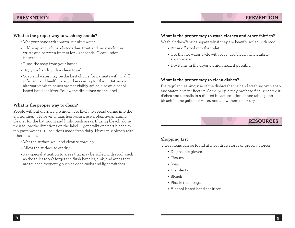- Wet your hands with warm, running water.
- **•** Add soap and rub hands together, front and back including wrists and between fingers for 20 seconds. Clean under fingernails.
- **•** Rinse the soap from your hands.
- **•** Dry your hands with a clean towel.
- **•** Soap and water may be the best choice for patients with C. diff infection and health care workers caring for them. But, as an alternative when hands are not visibly soiled, use an alcohol based hand sanitizer. Follow the directions on the label.

## **What is the proper way to clean?**

People without diarrhea are much less likely to spread germs into the environment. However, if diarrhea occurs, use a bleach-containing cleaner for the bathroom and high-touch areas. If using bleach alone, then follow the directions on the label — generally one part bleach to ten parts water (1:10 solution) made fresh daily. Never mix bleach with other cleaners.

- Wet the surface well and clean vigorously.
- Allow the surface to air dry.
- Pay special attention to areas that may be soiled with stool, such as the toilet (don't forget the flush handle), sink, and areas that are touched frequently, such as door knobs and light switches.

### **What is the proper way to wash clothes and other fabrics?**

Wash clothes/fabrics separately if they are heavily soiled with stool:

- Rinse off stool into the toilet.
- Use the hot water cycle with soap; use bleach when fabric appropriate.
- Dry items in the dryer on high heat, if possible.

## **What is the proper way to clean dishes?**

For regular cleaning, use of the dishwasher or hand washing with soap and water is very effective. Some people may prefer to final-rinse their dishes and utensils in a diluted bleach solution of one tablespoon bleach in one gallon of water, and allow them to air dry.

## **Shopping List**

These items can be found at most drug stores or grocery stores:

- Disposable gloves
- Tissues
- Soap
- Disinfectant
- Bleach
- Plastic trash bags
- Alcohol-based hand sanitizer

# **PREVENTIO**

**RESOURCES**